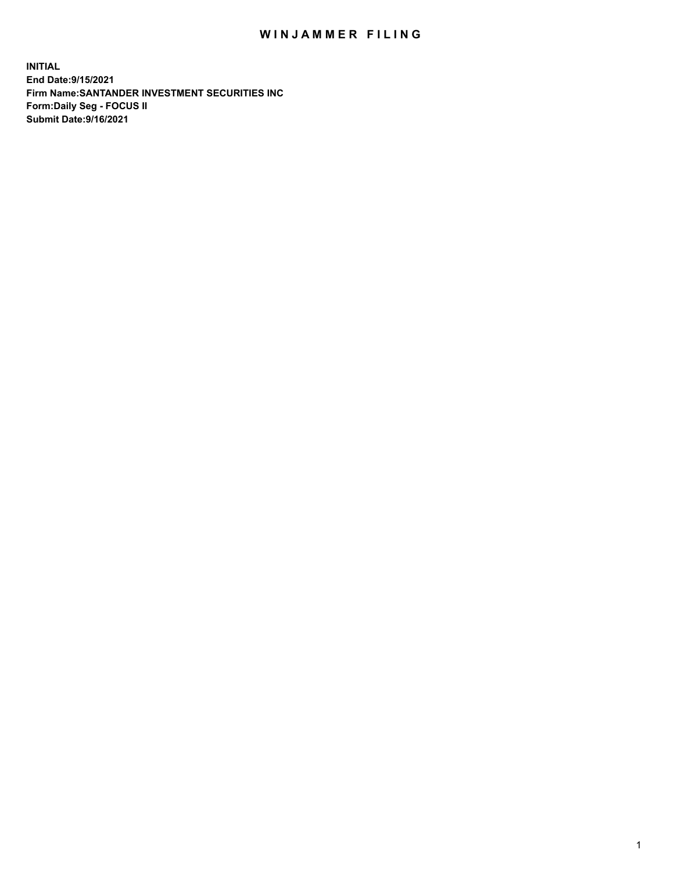## WIN JAMMER FILING

**INITIAL End Date:9/15/2021 Firm Name:SANTANDER INVESTMENT SECURITIES INC Form:Daily Seg - FOCUS II Submit Date:9/16/2021**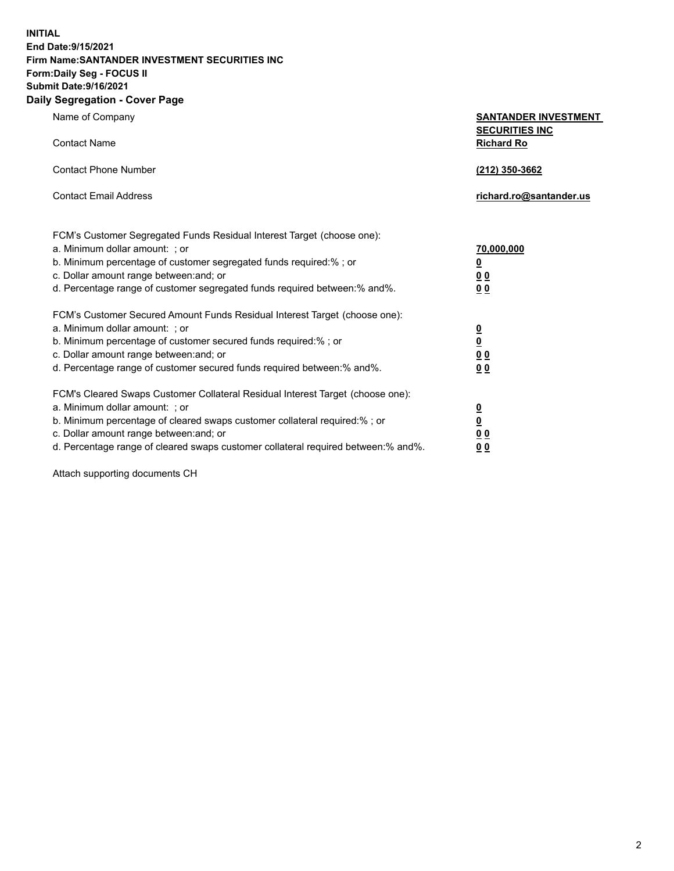**INITIAL End Date:9/15/2021 Firm Name:SANTANDER INVESTMENT SECURITIES INC Form:Daily Seg - FOCUS II Submit Date:9/16/2021 Daily Segregation - Cover Page**

| Name of Company                                                                   | <b>SANTANDER INVESTMENT</b><br><b>SECURITIES INC</b> |
|-----------------------------------------------------------------------------------|------------------------------------------------------|
| <b>Contact Name</b>                                                               | <b>Richard Ro</b>                                    |
| <b>Contact Phone Number</b>                                                       | (212) 350-3662                                       |
| <b>Contact Email Address</b>                                                      | richard.ro@santander.us                              |
| FCM's Customer Segregated Funds Residual Interest Target (choose one):            |                                                      |
| a. Minimum dollar amount: ; or                                                    | <u>70,000,000</u>                                    |
| b. Minimum percentage of customer segregated funds required:% ; or                | <u>0</u>                                             |
| c. Dollar amount range between: and; or                                           | 0 <sub>0</sub>                                       |
| d. Percentage range of customer segregated funds required between:% and%.         | 0 <sub>0</sub>                                       |
| FCM's Customer Secured Amount Funds Residual Interest Target (choose one):        |                                                      |
| a. Minimum dollar amount: ; or                                                    | $\overline{\mathbf{0}}$                              |
| b. Minimum percentage of customer secured funds required:%; or                    | $\underline{\mathbf{0}}$                             |
| c. Dollar amount range between: and; or                                           | 0 <sub>0</sub>                                       |
| d. Percentage range of customer secured funds required between:% and%.            | 0 <sub>0</sub>                                       |
| FCM's Cleared Swaps Customer Collateral Residual Interest Target (choose one):    |                                                      |
| a. Minimum dollar amount: ; or                                                    | $\overline{\mathbf{0}}$                              |
| b. Minimum percentage of cleared swaps customer collateral required:% ; or        | $\underline{\mathbf{0}}$                             |
| c. Dollar amount range between: and; or                                           | 0 <sub>0</sub>                                       |
| d. Percentage range of cleared swaps customer collateral required between:% and%. | 00                                                   |

Attach supporting documents CH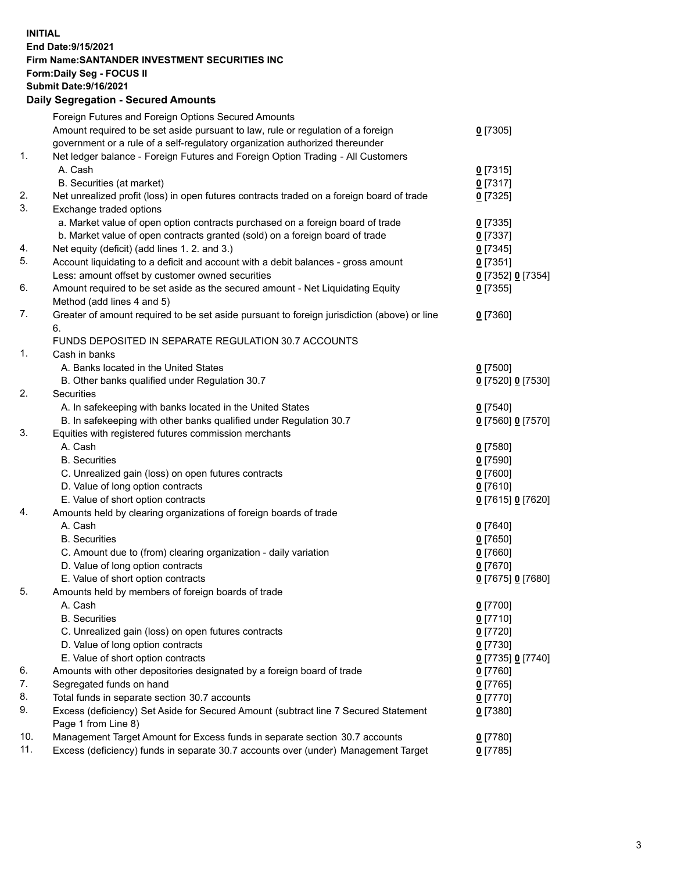**INITIAL End Date:9/15/2021 Firm Name:SANTANDER INVESTMENT SECURITIES INC Form:Daily Seg - FOCUS II Submit Date:9/16/2021 Daily Segregation - Secured Amounts**

|            | Foreign Futures and Foreign Options Secured Amounts                                         |                   |
|------------|---------------------------------------------------------------------------------------------|-------------------|
|            | Amount required to be set aside pursuant to law, rule or regulation of a foreign            | $0$ [7305]        |
|            | government or a rule of a self-regulatory organization authorized thereunder                |                   |
| 1.         | Net ledger balance - Foreign Futures and Foreign Option Trading - All Customers             |                   |
|            | A. Cash                                                                                     | $0$ [7315]        |
|            | B. Securities (at market)                                                                   | $0$ [7317]        |
| 2.         | Net unrealized profit (loss) in open futures contracts traded on a foreign board of trade   | $0$ [7325]        |
| 3.         | Exchange traded options                                                                     |                   |
|            | a. Market value of open option contracts purchased on a foreign board of trade              | $0$ [7335]        |
|            | b. Market value of open contracts granted (sold) on a foreign board of trade                | $0$ [7337]        |
| 4.         | Net equity (deficit) (add lines 1. 2. and 3.)                                               | $0$ [7345]        |
| 5.         | Account liquidating to a deficit and account with a debit balances - gross amount           | $0$ [7351]        |
|            | Less: amount offset by customer owned securities                                            | 0 [7352] 0 [7354] |
| 6.         | Amount required to be set aside as the secured amount - Net Liquidating Equity              | $0$ [7355]        |
|            | Method (add lines 4 and 5)                                                                  |                   |
| 7.         | Greater of amount required to be set aside pursuant to foreign jurisdiction (above) or line | $0$ [7360]        |
|            | 6.                                                                                          |                   |
|            | FUNDS DEPOSITED IN SEPARATE REGULATION 30.7 ACCOUNTS                                        |                   |
| 1.         | Cash in banks                                                                               |                   |
|            | A. Banks located in the United States                                                       | $0$ [7500]        |
|            | B. Other banks qualified under Regulation 30.7                                              | 0 [7520] 0 [7530] |
| 2.         | <b>Securities</b>                                                                           |                   |
|            | A. In safekeeping with banks located in the United States                                   | $0$ [7540]        |
|            | B. In safekeeping with other banks qualified under Regulation 30.7                          | 0 [7560] 0 [7570] |
| 3.         | Equities with registered futures commission merchants                                       |                   |
|            | A. Cash                                                                                     | $0$ [7580]        |
|            | <b>B.</b> Securities                                                                        | $0$ [7590]        |
|            | C. Unrealized gain (loss) on open futures contracts                                         | $0$ [7600]        |
|            | D. Value of long option contracts                                                           | $0$ [7610]        |
|            | E. Value of short option contracts                                                          | 0 [7615] 0 [7620] |
| 4.         | Amounts held by clearing organizations of foreign boards of trade                           |                   |
|            | A. Cash                                                                                     | $0$ [7640]        |
|            | <b>B.</b> Securities                                                                        | $0$ [7650]        |
|            | C. Amount due to (from) clearing organization - daily variation                             | $0$ [7660]        |
|            | D. Value of long option contracts                                                           | $0$ [7670]        |
|            | E. Value of short option contracts                                                          | 0 [7675] 0 [7680] |
| 5.         | Amounts held by members of foreign boards of trade                                          |                   |
|            | A. Cash                                                                                     | 0 [7700]          |
|            | <b>B.</b> Securities                                                                        | $0$ [7710]        |
|            | C. Unrealized gain (loss) on open futures contracts                                         | $0$ [7720]        |
|            | D. Value of long option contracts                                                           | $0$ [7730]        |
|            | E. Value of short option contracts                                                          | 0 [7735] 0 [7740] |
| 6.         | Amounts with other depositories designated by a foreign board of trade                      | $0$ [7760]        |
| 7.         | Segregated funds on hand                                                                    | $0$ [7765]        |
| 8.         | Total funds in separate section 30.7 accounts                                               | $0$ [7770]        |
| 9.         | Excess (deficiency) Set Aside for Secured Amount (subtract line 7 Secured Statement         | $0$ [7380]        |
|            | Page 1 from Line 8)                                                                         |                   |
| 10.<br>11. | Management Target Amount for Excess funds in separate section 30.7 accounts                 | $0$ [7780]        |
|            | Excess (deficiency) funds in separate 30.7 accounts over (under) Management Target          | $0$ [7785]        |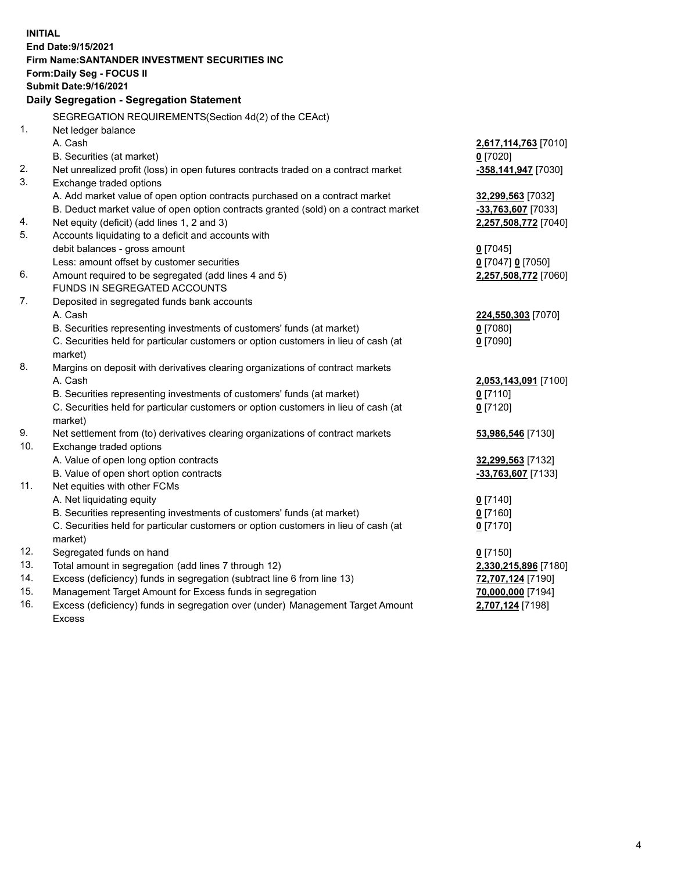| <b>INITIAL</b> |                                                                                                            |                      |
|----------------|------------------------------------------------------------------------------------------------------------|----------------------|
|                | End Date: 9/15/2021                                                                                        |                      |
|                | Firm Name: SANTANDER INVESTMENT SECURITIES INC                                                             |                      |
|                | <b>Form:Daily Seg - FOCUS II</b><br><b>Submit Date: 9/16/2021</b>                                          |                      |
|                |                                                                                                            |                      |
|                | Daily Segregation - Segregation Statement                                                                  |                      |
|                | SEGREGATION REQUIREMENTS(Section 4d(2) of the CEAct)                                                       |                      |
| 1.             | Net ledger balance                                                                                         |                      |
|                | A. Cash                                                                                                    | 2,617,114,763 [7010] |
|                | B. Securities (at market)                                                                                  | $0$ [7020]           |
| 2.             | Net unrealized profit (loss) in open futures contracts traded on a contract market                         | -358,141,947 [7030]  |
| 3.             | Exchange traded options                                                                                    |                      |
|                | A. Add market value of open option contracts purchased on a contract market                                | 32,299,563 [7032]    |
|                | B. Deduct market value of open option contracts granted (sold) on a contract market                        | -33,763,607 [7033]   |
| 4.             | Net equity (deficit) (add lines 1, 2 and 3)                                                                | 2,257,508,772 [7040] |
| 5.             | Accounts liquidating to a deficit and accounts with                                                        |                      |
|                | debit balances - gross amount                                                                              | $0$ [7045]           |
|                | Less: amount offset by customer securities                                                                 | 0 [7047] 0 [7050]    |
| 6.             | Amount required to be segregated (add lines 4 and 5)                                                       | 2,257,508,772 [7060] |
|                | FUNDS IN SEGREGATED ACCOUNTS                                                                               |                      |
| 7.             | Deposited in segregated funds bank accounts                                                                |                      |
|                | A. Cash                                                                                                    | 224,550,303 [7070]   |
|                | B. Securities representing investments of customers' funds (at market)                                     | $0$ [7080]           |
|                | C. Securities held for particular customers or option customers in lieu of cash (at                        | $0$ [7090]           |
|                | market)                                                                                                    |                      |
| 8.             | Margins on deposit with derivatives clearing organizations of contract markets                             |                      |
|                | A. Cash                                                                                                    | 2,053,143,091 [7100] |
|                | B. Securities representing investments of customers' funds (at market)                                     | $0$ [7110]           |
|                | C. Securities held for particular customers or option customers in lieu of cash (at                        | $0$ [7120]           |
| 9.             | market)                                                                                                    |                      |
| 10.            | Net settlement from (to) derivatives clearing organizations of contract markets<br>Exchange traded options | 53,986,546 [7130]    |
|                | A. Value of open long option contracts                                                                     | 32,299,563 [7132]    |
|                | B. Value of open short option contracts                                                                    | $-33,763,607$ [7133] |
| 11.            | Net equities with other FCMs                                                                               |                      |
|                | A. Net liquidating equity                                                                                  | $0$ [7140]           |
|                | B. Securities representing investments of customers' funds (at market)                                     | $0$ [7160]           |
|                | C. Securities held for particular customers or option customers in lieu of cash (at                        | $0$ [7170]           |
|                | market)                                                                                                    |                      |
| 12.            | Segregated funds on hand                                                                                   | $0$ [7150]           |
| 13.            | Total amount in segregation (add lines 7 through 12)                                                       | 2,330,215,896 [7180] |
| 14.            | Excess (deficiency) funds in segregation (subtract line 6 from line 13)                                    | 72,707,124 [7190]    |
| 15.            | Management Target Amount for Excess funds in segregation                                                   | 70,000,000 [7194]    |
| 16.            | Excess (deficiency) funds in segregation over (under) Management Target Amount                             | 2,707,124 [7198]     |
|                | <b>Excess</b>                                                                                              |                      |